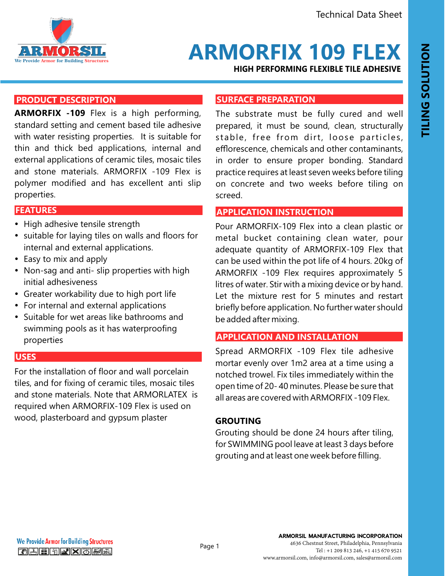

# **ARMORFIX 109 FLEX**

**HIGH PERFORMING FLEXIBLE TILE ADHESIVE** 

# **PRODUCT DESCRIPTION**

**ARMORFIX -109** Flex is a high performing, standard setting and cement based tile adhesive with water resisting properties. It is suitable for thin and thick bed applications, internal and external applications of ceramic tiles, mosaic tiles and stone materials. ARMORFIX -109 Flex is polymer modified and has excellent anti slip properties.

# **FEATURES AND BENEFITS FEATURES**

- High adhesive tensile strength
- suitable for laying tiles on walls and floors for internal and external applications.
- Easy to mix and apply
- Non-sag and anti- slip properties with high initial adhesiveness
- Greater workability due to high port life
- For internal and external applications
- Suitable for wet areas like bathrooms and swimming pools as it has waterproofing properties

### **USES**

For the installation of floor and wall porcelain tiles, and for fixing of ceramic tiles, mosaic tiles and stone materials. Note that ARMORLATEX is required when ARMORFIX-109 Flex is used on wood, plasterboard and gypsum plaster

### **SURFACE PREPARATION**

The substrate must be fully cured and well prepared, it must be sound, clean, structurally stable, free from dirt, loose particles, efflorescence, chemicals and other contaminants, in order to ensure proper bonding. Standard practice requires at least seven weeks before tiling on concrete and two weeks before tiling on screed.

### **APPLICATION INSTRUCTION**

Pour ARMORFIX-109 Flex into a clean plastic or metal bucket containing clean water, pour adequate quantity of ARMORFIX-109 Flex that can be used within the pot life of 4 hours. 20kg of ARMORFIX -109 Flex requires approximately 5 litres of water. Stir with a mixing device or by hand. Let the mixture rest for 5 minutes and restart briefly before application. No further water should be added after mixing.

## **APPLICATION AND INSTALLATION**

Spread ARMORFIX -109 Flex tile adhesive mortar evenly over 1m2 area at a time using a notched trowel. Fix tiles immediately within the open time of 20- 40 minutes. Please be sure that all areas are covered with ARMORFIX -109 Flex.

## **GROUTING**

Grouting should be done 24 hours after tiling, for SWIMMING pool leave at least 3 days before grouting and at least one week before filling.